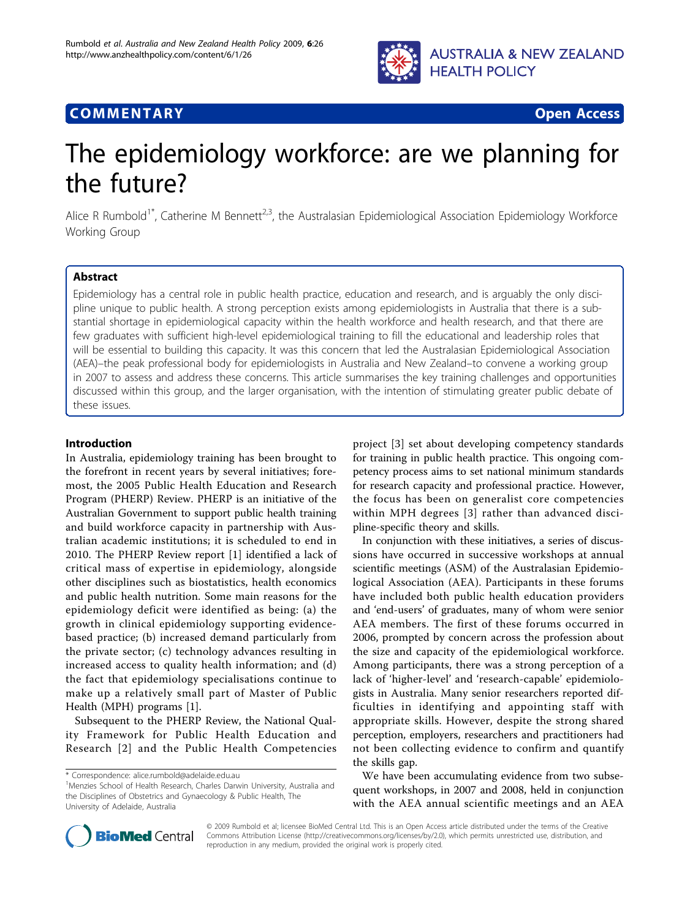

# **COMMENTARY COMMENTARY Open Access**

# The epidemiology workforce: are we planning for the future?

Alice R Rumbold<sup>1\*</sup>, Catherine M Bennett<sup>2,3</sup>, the Australasian Epidemiological Association Epidemiology Workforce Working Group

# Abstract

Epidemiology has a central role in public health practice, education and research, and is arguably the only discipline unique to public health. A strong perception exists among epidemiologists in Australia that there is a substantial shortage in epidemiological capacity within the health workforce and health research, and that there are few graduates with sufficient high-level epidemiological training to fill the educational and leadership roles that will be essential to building this capacity. It was this concern that led the Australasian Epidemiological Association (AEA)–the peak professional body for epidemiologists in Australia and New Zealand–to convene a working group in 2007 to assess and address these concerns. This article summarises the key training challenges and opportunities discussed within this group, and the larger organisation, with the intention of stimulating greater public debate of these issues.

# Introduction

In Australia, epidemiology training has been brought to the forefront in recent years by several initiatives; foremost, the 2005 Public Health Education and Research Program (PHERP) Review. PHERP is an initiative of the Australian Government to support public health training and build workforce capacity in partnership with Australian academic institutions; it is scheduled to end in 2010. The PHERP Review report [[1\]](#page-4-0) identified a lack of critical mass of expertise in epidemiology, alongside other disciplines such as biostatistics, health economics and public health nutrition. Some main reasons for the epidemiology deficit were identified as being: (a) the growth in clinical epidemiology supporting evidencebased practice; (b) increased demand particularly from the private sector; (c) technology advances resulting in increased access to quality health information; and (d) the fact that epidemiology specialisations continue to make up a relatively small part of Master of Public Health (MPH) programs [[1\]](#page-4-0).

Subsequent to the PHERP Review, the National Quality Framework for Public Health Education and Research [[2\]](#page-4-0) and the Public Health Competencies

<sup>1</sup>Menzies School of Health Research, Charles Darwin University, Australia and the Disciplines of Obstetrics and Gynaecology & Public Health, The University of Adelaide, Australia

project [[3](#page-4-0)] set about developing competency standards for training in public health practice. This ongoing competency process aims to set national minimum standards for research capacity and professional practice. However, the focus has been on generalist core competencies within MPH degrees [[3](#page-4-0)] rather than advanced discipline-specific theory and skills.

In conjunction with these initiatives, a series of discussions have occurred in successive workshops at annual scientific meetings (ASM) of the Australasian Epidemiological Association (AEA). Participants in these forums have included both public health education providers and 'end-users' of graduates, many of whom were senior AEA members. The first of these forums occurred in 2006, prompted by concern across the profession about the size and capacity of the epidemiological workforce. Among participants, there was a strong perception of a lack of 'higher-level' and 'research-capable' epidemiologists in Australia. Many senior researchers reported difficulties in identifying and appointing staff with appropriate skills. However, despite the strong shared perception, employers, researchers and practitioners had not been collecting evidence to confirm and quantify the skills gap.

We have been accumulating evidence from two subsequent workshops, in 2007 and 2008, held in conjunction with the AEA annual scientific meetings and an AEA



© 2009 Rumbold et al; licensee BioMed Central Ltd. This is an Open Access article distributed under the terms of the Creative Commons Attribution License [\(http://creativecommons.org/licenses/by/2.0](http://creativecommons.org/licenses/by/2.0)), which permits unrestricted use, distribution, and reproduction in any medium, provided the original work is properly cited.

<sup>\*</sup> Correspondence: [alice.rumbold@adelaide.edu.au](mailto:alice.rumbold@adelaide.edu.au)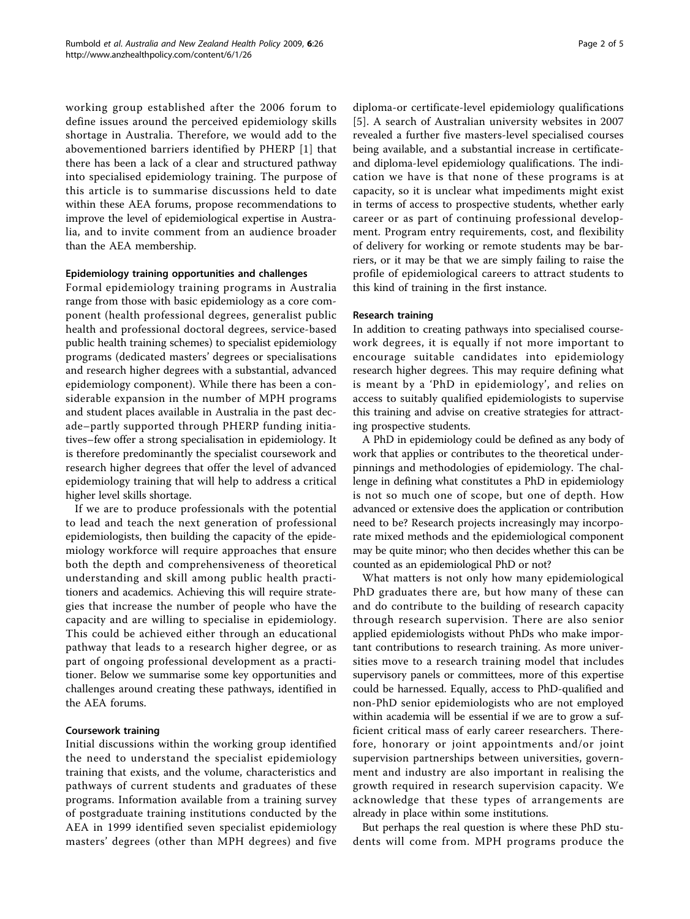working group established after the 2006 forum to define issues around the perceived epidemiology skills shortage in Australia. Therefore, we would add to the abovementioned barriers identified by PHERP [[1\]](#page-4-0) that there has been a lack of a clear and structured pathway into specialised epidemiology training. The purpose of this article is to summarise discussions held to date within these AEA forums, propose recommendations to improve the level of epidemiological expertise in Australia, and to invite comment from an audience broader than the AEA membership.

## Epidemiology training opportunities and challenges

Formal epidemiology training programs in Australia range from those with basic epidemiology as a core component (health professional degrees, generalist public health and professional doctoral degrees, service-based public health training schemes) to specialist epidemiology programs (dedicated masters' degrees or specialisations and research higher degrees with a substantial, advanced epidemiology component). While there has been a considerable expansion in the number of MPH programs and student places available in Australia in the past decade–partly supported through PHERP funding initiatives–few offer a strong specialisation in epidemiology. It is therefore predominantly the specialist coursework and research higher degrees that offer the level of advanced epidemiology training that will help to address a critical higher level skills shortage.

If we are to produce professionals with the potential to lead and teach the next generation of professional epidemiologists, then building the capacity of the epidemiology workforce will require approaches that ensure both the depth and comprehensiveness of theoretical understanding and skill among public health practitioners and academics. Achieving this will require strategies that increase the number of people who have the capacity and are willing to specialise in epidemiology. This could be achieved either through an educational pathway that leads to a research higher degree, or as part of ongoing professional development as a practitioner. Below we summarise some key opportunities and challenges around creating these pathways, identified in the AEA forums.

#### Coursework training

Initial discussions within the working group identified the need to understand the specialist epidemiology training that exists, and the volume, characteristics and pathways of current students and graduates of these programs. Information available from a training survey of postgraduate training institutions conducted by the AEA in 1999 identified seven specialist epidemiology masters' degrees (other than MPH degrees) and five diploma-or certificate-level epidemiology qualifications [[5](#page-4-0)]. A search of Australian university websites in 2007 revealed a further five masters-level specialised courses being available, and a substantial increase in certificateand diploma-level epidemiology qualifications. The indication we have is that none of these programs is at capacity, so it is unclear what impediments might exist in terms of access to prospective students, whether early career or as part of continuing professional development. Program entry requirements, cost, and flexibility of delivery for working or remote students may be barriers, or it may be that we are simply failing to raise the profile of epidemiological careers to attract students to this kind of training in the first instance.

#### Research training

In addition to creating pathways into specialised coursework degrees, it is equally if not more important to encourage suitable candidates into epidemiology research higher degrees. This may require defining what is meant by a 'PhD in epidemiology', and relies on access to suitably qualified epidemiologists to supervise this training and advise on creative strategies for attracting prospective students.

A PhD in epidemiology could be defined as any body of work that applies or contributes to the theoretical underpinnings and methodologies of epidemiology. The challenge in defining what constitutes a PhD in epidemiology is not so much one of scope, but one of depth. How advanced or extensive does the application or contribution need to be? Research projects increasingly may incorporate mixed methods and the epidemiological component may be quite minor; who then decides whether this can be counted as an epidemiological PhD or not?

What matters is not only how many epidemiological PhD graduates there are, but how many of these can and do contribute to the building of research capacity through research supervision. There are also senior applied epidemiologists without PhDs who make important contributions to research training. As more universities move to a research training model that includes supervisory panels or committees, more of this expertise could be harnessed. Equally, access to PhD-qualified and non-PhD senior epidemiologists who are not employed within academia will be essential if we are to grow a sufficient critical mass of early career researchers. Therefore, honorary or joint appointments and/or joint supervision partnerships between universities, government and industry are also important in realising the growth required in research supervision capacity. We acknowledge that these types of arrangements are already in place within some institutions.

But perhaps the real question is where these PhD students will come from. MPH programs produce the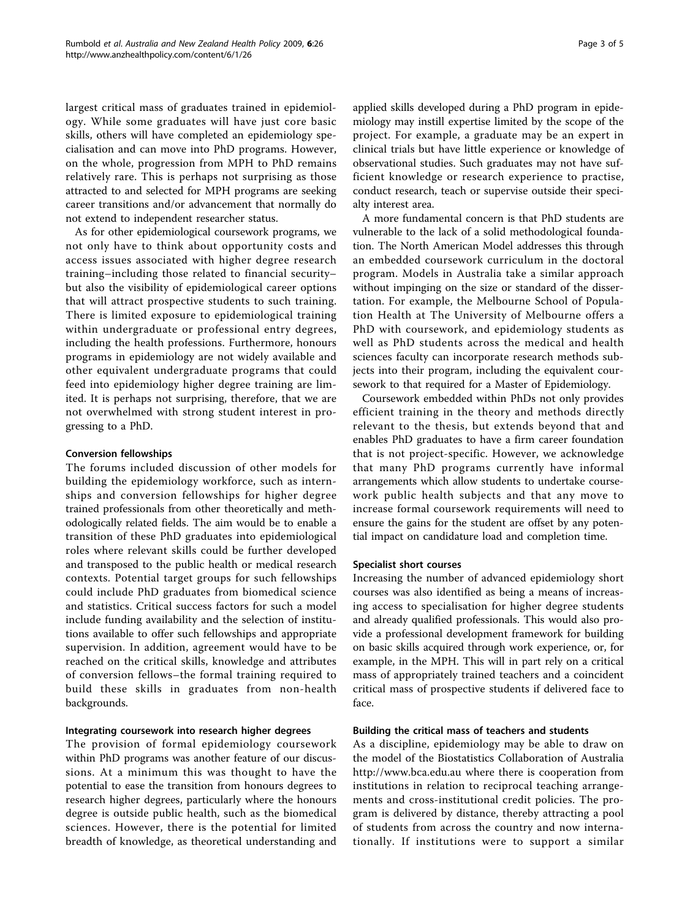largest critical mass of graduates trained in epidemiology. While some graduates will have just core basic skills, others will have completed an epidemiology specialisation and can move into PhD programs. However, on the whole, progression from MPH to PhD remains relatively rare. This is perhaps not surprising as those attracted to and selected for MPH programs are seeking career transitions and/or advancement that normally do not extend to independent researcher status.

As for other epidemiological coursework programs, we not only have to think about opportunity costs and access issues associated with higher degree research training–including those related to financial security– but also the visibility of epidemiological career options that will attract prospective students to such training. There is limited exposure to epidemiological training within undergraduate or professional entry degrees, including the health professions. Furthermore, honours programs in epidemiology are not widely available and other equivalent undergraduate programs that could feed into epidemiology higher degree training are limited. It is perhaps not surprising, therefore, that we are not overwhelmed with strong student interest in progressing to a PhD.

# Conversion fellowships

The forums included discussion of other models for building the epidemiology workforce, such as internships and conversion fellowships for higher degree trained professionals from other theoretically and methodologically related fields. The aim would be to enable a transition of these PhD graduates into epidemiological roles where relevant skills could be further developed and transposed to the public health or medical research contexts. Potential target groups for such fellowships could include PhD graduates from biomedical science and statistics. Critical success factors for such a model include funding availability and the selection of institutions available to offer such fellowships and appropriate supervision. In addition, agreement would have to be reached on the critical skills, knowledge and attributes of conversion fellows–the formal training required to build these skills in graduates from non-health backgrounds.

## Integrating coursework into research higher degrees

The provision of formal epidemiology coursework within PhD programs was another feature of our discussions. At a minimum this was thought to have the potential to ease the transition from honours degrees to research higher degrees, particularly where the honours degree is outside public health, such as the biomedical sciences. However, there is the potential for limited breadth of knowledge, as theoretical understanding and applied skills developed during a PhD program in epidemiology may instill expertise limited by the scope of the project. For example, a graduate may be an expert in clinical trials but have little experience or knowledge of observational studies. Such graduates may not have sufficient knowledge or research experience to practise, conduct research, teach or supervise outside their specialty interest area.

A more fundamental concern is that PhD students are vulnerable to the lack of a solid methodological foundation. The North American Model addresses this through an embedded coursework curriculum in the doctoral program. Models in Australia take a similar approach without impinging on the size or standard of the dissertation. For example, the Melbourne School of Population Health at The University of Melbourne offers a PhD with coursework, and epidemiology students as well as PhD students across the medical and health sciences faculty can incorporate research methods subjects into their program, including the equivalent coursework to that required for a Master of Epidemiology.

Coursework embedded within PhDs not only provides efficient training in the theory and methods directly relevant to the thesis, but extends beyond that and enables PhD graduates to have a firm career foundation that is not project-specific. However, we acknowledge that many PhD programs currently have informal arrangements which allow students to undertake coursework public health subjects and that any move to increase formal coursework requirements will need to ensure the gains for the student are offset by any potential impact on candidature load and completion time.

## Specialist short courses

Increasing the number of advanced epidemiology short courses was also identified as being a means of increasing access to specialisation for higher degree students and already qualified professionals. This would also provide a professional development framework for building on basic skills acquired through work experience, or, for example, in the MPH. This will in part rely on a critical mass of appropriately trained teachers and a coincident critical mass of prospective students if delivered face to face.

#### Building the critical mass of teachers and students

As a discipline, epidemiology may be able to draw on the model of the Biostatistics Collaboration of Australia <http://www.bca.edu.au> where there is cooperation from institutions in relation to reciprocal teaching arrangements and cross-institutional credit policies. The program is delivered by distance, thereby attracting a pool of students from across the country and now internationally. If institutions were to support a similar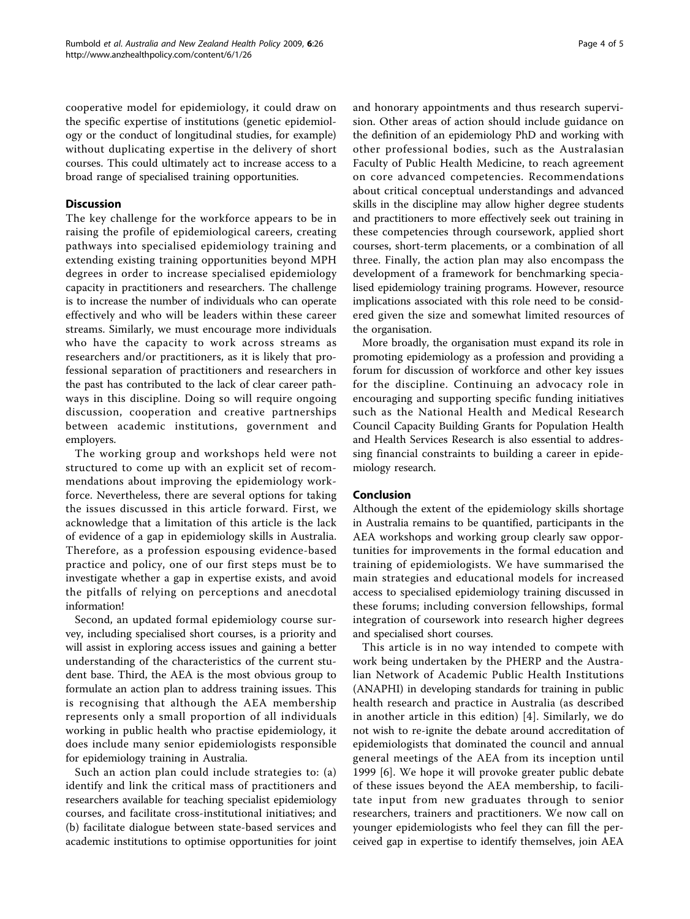cooperative model for epidemiology, it could draw on the specific expertise of institutions (genetic epidemiology or the conduct of longitudinal studies, for example) without duplicating expertise in the delivery of short courses. This could ultimately act to increase access to a broad range of specialised training opportunities.

# **Discussion**

The key challenge for the workforce appears to be in raising the profile of epidemiological careers, creating pathways into specialised epidemiology training and extending existing training opportunities beyond MPH degrees in order to increase specialised epidemiology capacity in practitioners and researchers. The challenge is to increase the number of individuals who can operate effectively and who will be leaders within these career streams. Similarly, we must encourage more individuals who have the capacity to work across streams as researchers and/or practitioners, as it is likely that professional separation of practitioners and researchers in the past has contributed to the lack of clear career pathways in this discipline. Doing so will require ongoing discussion, cooperation and creative partnerships between academic institutions, government and employers.

The working group and workshops held were not structured to come up with an explicit set of recommendations about improving the epidemiology workforce. Nevertheless, there are several options for taking the issues discussed in this article forward. First, we acknowledge that a limitation of this article is the lack of evidence of a gap in epidemiology skills in Australia. Therefore, as a profession espousing evidence-based practice and policy, one of our first steps must be to investigate whether a gap in expertise exists, and avoid the pitfalls of relying on perceptions and anecdotal information!

Second, an updated formal epidemiology course survey, including specialised short courses, is a priority and will assist in exploring access issues and gaining a better understanding of the characteristics of the current student base. Third, the AEA is the most obvious group to formulate an action plan to address training issues. This is recognising that although the AEA membership represents only a small proportion of all individuals working in public health who practise epidemiology, it does include many senior epidemiologists responsible for epidemiology training in Australia.

Such an action plan could include strategies to: (a) identify and link the critical mass of practitioners and researchers available for teaching specialist epidemiology courses, and facilitate cross-institutional initiatives; and (b) facilitate dialogue between state-based services and academic institutions to optimise opportunities for joint and honorary appointments and thus research supervision. Other areas of action should include guidance on the definition of an epidemiology PhD and working with other professional bodies, such as the Australasian Faculty of Public Health Medicine, to reach agreement on core advanced competencies. Recommendations about critical conceptual understandings and advanced skills in the discipline may allow higher degree students and practitioners to more effectively seek out training in these competencies through coursework, applied short courses, short-term placements, or a combination of all three. Finally, the action plan may also encompass the development of a framework for benchmarking specialised epidemiology training programs. However, resource implications associated with this role need to be considered given the size and somewhat limited resources of the organisation.

More broadly, the organisation must expand its role in promoting epidemiology as a profession and providing a forum for discussion of workforce and other key issues for the discipline. Continuing an advocacy role in encouraging and supporting specific funding initiatives such as the National Health and Medical Research Council Capacity Building Grants for Population Health and Health Services Research is also essential to addressing financial constraints to building a career in epidemiology research.

## Conclusion

Although the extent of the epidemiology skills shortage in Australia remains to be quantified, participants in the AEA workshops and working group clearly saw opportunities for improvements in the formal education and training of epidemiologists. We have summarised the main strategies and educational models for increased access to specialised epidemiology training discussed in these forums; including conversion fellowships, formal integration of coursework into research higher degrees and specialised short courses.

This article is in no way intended to compete with work being undertaken by the PHERP and the Australian Network of Academic Public Health Institutions (ANAPHI) in developing standards for training in public health research and practice in Australia (as described in another article in this edition) [[4\]](#page-4-0). Similarly, we do not wish to re-ignite the debate around accreditation of epidemiologists that dominated the council and annual general meetings of the AEA from its inception until 1999 [\[6](#page-4-0)]. We hope it will provoke greater public debate of these issues beyond the AEA membership, to facilitate input from new graduates through to senior researchers, trainers and practitioners. We now call on younger epidemiologists who feel they can fill the perceived gap in expertise to identify themselves, join AEA